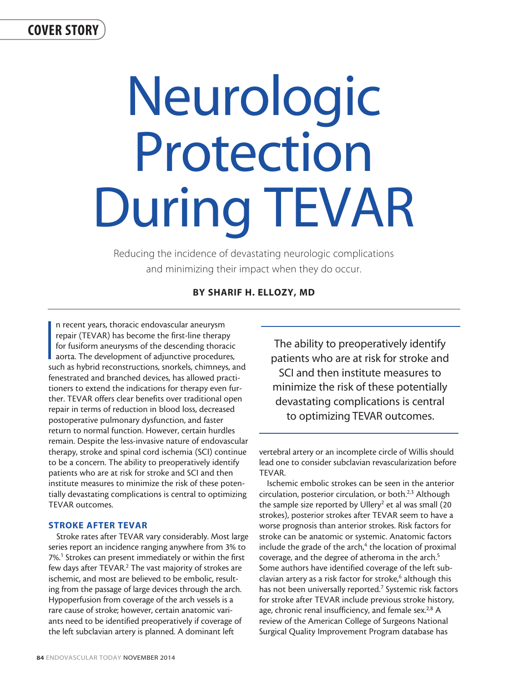## COVER STORY

# Neurologic Protection During TEVAR

Reducing the incidence of devastating neurologic complications and minimizing their impact when they do occur.

### BY SHARIF H. ELLOZY, MD

|<br>|<br>|<br>|<br>|<br>|<br>| n recent years, thoracic endovascular aneurysm repair (TEVAR) has become the first-line therapy for fusiform aneurysms of the descending thoracic aorta. The development of adjunctive procedures, such as hybrid reconstructions, snorkels, chimneys, and fenestrated and branched devices, has allowed practitioners to extend the indications for therapy even further. TEVAR offers clear benefits over traditional open repair in terms of reduction in blood loss, decreased postoperative pulmonary dysfunction, and faster return to normal function. However, certain hurdles remain. Despite the less-invasive nature of endovascular therapy, stroke and spinal cord ischemia (SCI) continue to be a concern. The ability to preoperatively identify patients who are at risk for stroke and SCI and then institute measures to minimize the risk of these potentially devastating complications is central to optimizing TEVAR outcomes.

#### STROKE AFTER TEVAR

Stroke rates after TEVAR vary considerably. Most large series report an incidence ranging anywhere from 3% to 7%.1 Strokes can present immediately or within the first few days after TEVAR.<sup>2</sup> The vast majority of strokes are ischemic, and most are believed to be embolic, resulting from the passage of large devices through the arch. Hypoperfusion from coverage of the arch vessels is a rare cause of stroke; however, certain anatomic variants need to be identified preoperatively if coverage of the left subclavian artery is planned. A dominant left

The ability to preoperatively identify patients who are at risk for stroke and SCI and then institute measures to minimize the risk of these potentially devastating complications is central to optimizing TEVAR outcomes.

vertebral artery or an incomplete circle of Willis should lead one to consider subclavian revascularization before TEVAR.

Ischemic embolic strokes can be seen in the anterior circulation, posterior circulation, or both.<sup>2,3</sup> Although the sample size reported by Ullery<sup>2</sup> et al was small (20 strokes), posterior strokes after TEVAR seem to have a worse prognosis than anterior strokes. Risk factors for stroke can be anatomic or systemic. Anatomic factors include the grade of the arch,<sup>4</sup> the location of proximal coverage, and the degree of atheroma in the arch.<sup>5</sup> Some authors have identified coverage of the left subclavian artery as a risk factor for stroke,<sup>6</sup> although this has not been universally reported.<sup>7</sup> Systemic risk factors for stroke after TEVAR include previous stroke history, age, chronic renal insufficiency, and female sex. $2,8$  A review of the American College of Surgeons National Surgical Quality Improvement Program database has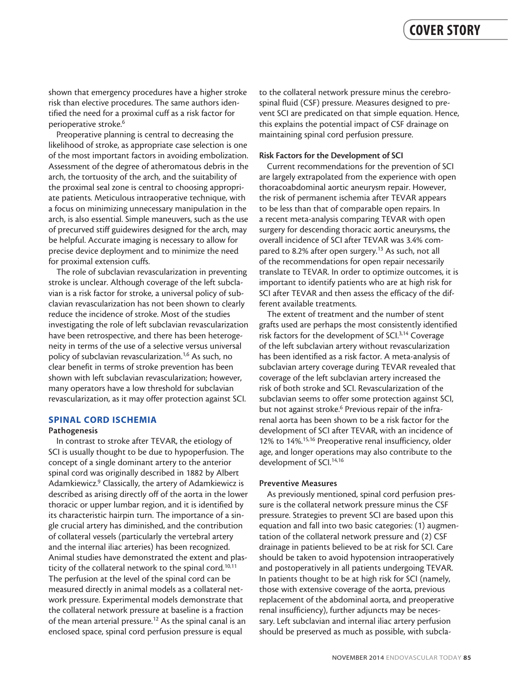shown that emergency procedures have a higher stroke risk than elective procedures. The same authors identified the need for a proximal cuff as a risk factor for perioperative stroke.6

Preoperative planning is central to decreasing the likelihood of stroke, as appropriate case selection is one of the most important factors in avoiding embolization. Assessment of the degree of atheromatous debris in the arch, the tortuosity of the arch, and the suitability of the proximal seal zone is central to choosing appropriate patients. Meticulous intraoperative technique, with a focus on minimizing unnecessary manipulation in the arch, is also essential. Simple maneuvers, such as the use of precurved stiff guidewires designed for the arch, may be helpful. Accurate imaging is necessary to allow for precise device deployment and to minimize the need for proximal extension cuffs.

The role of subclavian revascularization in preventing stroke is unclear. Although coverage of the left subclavian is a risk factor for stroke, a universal policy of subclavian revascularization has not been shown to clearly reduce the incidence of stroke. Most of the studies investigating the role of left subclavian revascularization have been retrospective, and there has been heterogeneity in terms of the use of a selective versus universal policy of subclavian revascularization.<sup>1,6</sup> As such, no clear benefit in terms of stroke prevention has been shown with left subclavian revascularization; however, many operators have a low threshold for subclavian revascularization, as it may offer protection against SCI.

#### SPINAL CORD ISCHEMIA

#### Pathogenesis

In contrast to stroke after TEVAR, the etiology of SCI is usually thought to be due to hypoperfusion. The concept of a single dominant artery to the anterior spinal cord was originally described in 1882 by Albert Adamkiewicz.<sup>9</sup> Classically, the artery of Adamkiewicz is described as arising directly off of the aorta in the lower thoracic or upper lumbar region, and it is identified by its characteristic hairpin turn. The importance of a single crucial artery has diminished, and the contribution of collateral vessels (particularly the vertebral artery and the internal iliac arteries) has been recognized. Animal studies have demonstrated the extent and plasticity of the collateral network to the spinal cord.<sup>10,11</sup> The perfusion at the level of the spinal cord can be measured directly in animal models as a collateral network pressure. Experimental models demonstrate that the collateral network pressure at baseline is a fraction of the mean arterial pressure.12 As the spinal canal is an enclosed space, spinal cord perfusion pressure is equal

to the collateral network pressure minus the cerebrospinal fluid (CSF) pressure. Measures designed to prevent SCI are predicated on that simple equation. Hence, this explains the potential impact of CSF drainage on maintaining spinal cord perfusion pressure.

#### Risk Factors for the Development of SCI

Current recommendations for the prevention of SCI are largely extrapolated from the experience with open thoracoabdominal aortic aneurysm repair. However, the risk of permanent ischemia after TEVAR appears to be less than that of comparable open repairs. In a recent meta-analysis comparing TEVAR with open surgery for descending thoracic aortic aneurysms, the overall incidence of SCI after TEVAR was 3.4% compared to 8.2% after open surgery.<sup>13</sup> As such, not all of the recommendations for open repair necessarily translate to TEVAR. In order to optimize outcomes, it is important to identify patients who are at high risk for SCI after TEVAR and then assess the efficacy of the different available treatments.

The extent of treatment and the number of stent grafts used are perhaps the most consistently identified risk factors for the development of SCI.3,14 Coverage of the left subclavian artery without revascularization has been identified as a risk factor. A meta-analysis of subclavian artery coverage during TEVAR revealed that coverage of the left subclavian artery increased the risk of both stroke and SCI. Revascularization of the subclavian seems to offer some protection against SCI, but not against stroke.<sup>6</sup> Previous repair of the infrarenal aorta has been shown to be a risk factor for the development of SCI after TEVAR, with an incidence of 12% to 14%.15,16 Preoperative renal insufficiency, older age, and longer operations may also contribute to the development of SCI.<sup>14,16</sup>

#### Preventive Measures

As previously mentioned, spinal cord perfusion pressure is the collateral network pressure minus the CSF pressure. Strategies to prevent SCI are based upon this equation and fall into two basic categories: (1) augmentation of the collateral network pressure and (2) CSF drainage in patients believed to be at risk for SCI. Care should be taken to avoid hypotension intraoperatively and postoperatively in all patients undergoing TEVAR. In patients thought to be at high risk for SCI (namely, those with extensive coverage of the aorta, previous replacement of the abdominal aorta, and preoperative renal insufficiency), further adjuncts may be necessary. Left subclavian and internal iliac artery perfusion should be preserved as much as possible, with subcla-